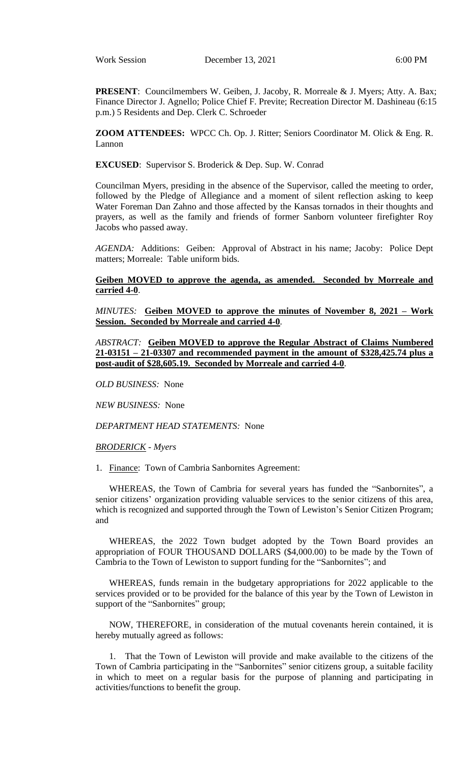**PRESENT**: Councilmembers W. Geiben, J. Jacoby, R. Morreale & J. Myers; Atty. A. Bax; Finance Director J. Agnello; Police Chief F. Previte; Recreation Director M. Dashineau (6:15 p.m.) 5 Residents and Dep. Clerk C. Schroeder

**ZOOM ATTENDEES:** WPCC Ch. Op. J. Ritter; Seniors Coordinator M. Olick & Eng. R. Lannon

**EXCUSED**: Supervisor S. Broderick & Dep. Sup. W. Conrad

Councilman Myers, presiding in the absence of the Supervisor, called the meeting to order, followed by the Pledge of Allegiance and a moment of silent reflection asking to keep Water Foreman Dan Zahno and those affected by the Kansas tornados in their thoughts and prayers, as well as the family and friends of former Sanborn volunteer firefighter Roy Jacobs who passed away.

*AGENDA:* Additions: Geiben: Approval of Abstract in his name; Jacoby: Police Dept matters; Morreale: Table uniform bids.

**Geiben MOVED to approve the agenda, as amended. Seconded by Morreale and carried 4-0**.

*MINUTES:* **Geiben MOVED to approve the minutes of November 8, 2021 – Work Session. Seconded by Morreale and carried 4-0**.

*ABSTRACT:* **Geiben MOVED to approve the Regular Abstract of Claims Numbered 21-03151 – 21-03307 and recommended payment in the amount of \$328,425.74 plus a post-audit of \$28,605.19. Seconded by Morreale and carried 4-0**.

*OLD BUSINESS:* None

*NEW BUSINESS:* None

*DEPARTMENT HEAD STATEMENTS:* None

*BRODERICK - Myers*

1. Finance: Town of Cambria Sanbornites Agreement:

WHEREAS, the Town of Cambria for several years has funded the "Sanbornites", a senior citizens' organization providing valuable services to the senior citizens of this area, which is recognized and supported through the Town of Lewiston's Senior Citizen Program; and

WHEREAS, the 2022 Town budget adopted by the Town Board provides an appropriation of FOUR THOUSAND DOLLARS (\$4,000.00) to be made by the Town of Cambria to the Town of Lewiston to support funding for the "Sanbornites"; and

WHEREAS, funds remain in the budgetary appropriations for 2022 applicable to the services provided or to be provided for the balance of this year by the Town of Lewiston in support of the "Sanbornites" group;

NOW, THEREFORE, in consideration of the mutual covenants herein contained, it is hereby mutually agreed as follows:

1. That the Town of Lewiston will provide and make available to the citizens of the Town of Cambria participating in the "Sanbornites" senior citizens group, a suitable facility in which to meet on a regular basis for the purpose of planning and participating in activities/functions to benefit the group.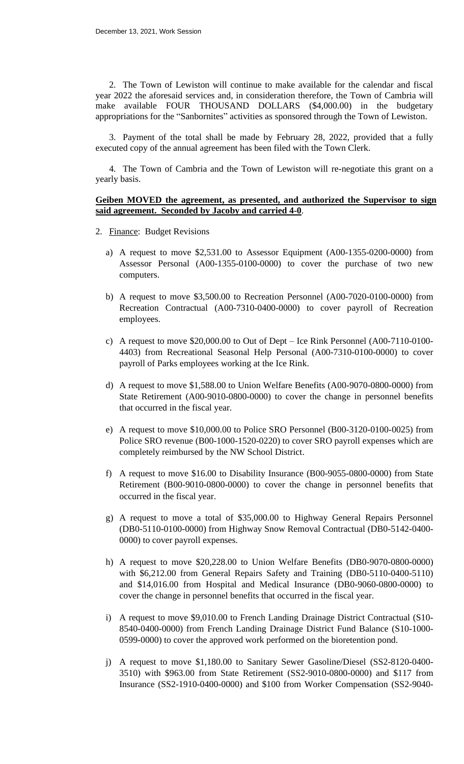2. The Town of Lewiston will continue to make available for the calendar and fiscal year 2022 the aforesaid services and, in consideration therefore, the Town of Cambria will make available FOUR THOUSAND DOLLARS (\$4,000.00) in the budgetary appropriations for the "Sanbornites" activities as sponsored through the Town of Lewiston.

3. Payment of the total shall be made by February 28, 2022, provided that a fully executed copy of the annual agreement has been filed with the Town Clerk.

4. The Town of Cambria and the Town of Lewiston will re-negotiate this grant on a yearly basis.

#### **Geiben MOVED the agreement, as presented, and authorized the Supervisor to sign said agreement. Seconded by Jacoby and carried 4-0**.

- 2. Finance: Budget Revisions
	- a) A request to move \$2,531.00 to Assessor Equipment (A00-1355-0200-0000) from Assessor Personal (A00-1355-0100-0000) to cover the purchase of two new computers.
	- b) A request to move \$3,500.00 to Recreation Personnel (A00-7020-0100-0000) from Recreation Contractual (A00-7310-0400-0000) to cover payroll of Recreation employees.
	- c) A request to move \$20,000.00 to Out of Dept Ice Rink Personnel (A00-7110-0100- 4403) from Recreational Seasonal Help Personal (A00-7310-0100-0000) to cover payroll of Parks employees working at the Ice Rink.
	- d) A request to move \$1,588.00 to Union Welfare Benefits (A00-9070-0800-0000) from State Retirement (A00-9010-0800-0000) to cover the change in personnel benefits that occurred in the fiscal year.
	- e) A request to move \$10,000.00 to Police SRO Personnel (B00-3120-0100-0025) from Police SRO revenue (B00-1000-1520-0220) to cover SRO payroll expenses which are completely reimbursed by the NW School District.
	- f) A request to move \$16.00 to Disability Insurance (B00-9055-0800-0000) from State Retirement (B00-9010-0800-0000) to cover the change in personnel benefits that occurred in the fiscal year.
	- g) A request to move a total of \$35,000.00 to Highway General Repairs Personnel (DB0-5110-0100-0000) from Highway Snow Removal Contractual (DB0-5142-0400- 0000) to cover payroll expenses.
	- h) A request to move \$20,228.00 to Union Welfare Benefits (DB0-9070-0800-0000) with \$6,212.00 from General Repairs Safety and Training (DB0-5110-0400-5110) and \$14,016.00 from Hospital and Medical Insurance (DB0-9060-0800-0000) to cover the change in personnel benefits that occurred in the fiscal year.
	- i) A request to move \$9,010.00 to French Landing Drainage District Contractual (S10- 8540-0400-0000) from French Landing Drainage District Fund Balance (S10-1000- 0599-0000) to cover the approved work performed on the bioretention pond.
	- j) A request to move \$1,180.00 to Sanitary Sewer Gasoline/Diesel (SS2-8120-0400- 3510) with \$963.00 from State Retirement (SS2-9010-0800-0000) and \$117 from Insurance (SS2-1910-0400-0000) and \$100 from Worker Compensation (SS2-9040-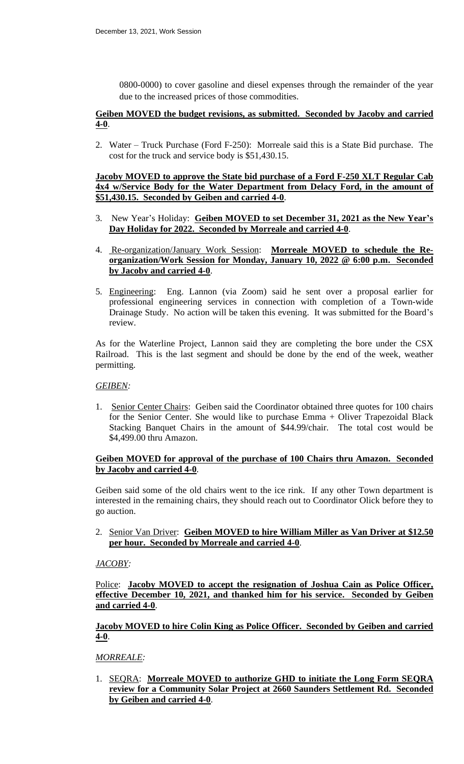0800-0000) to cover gasoline and diesel expenses through the remainder of the year due to the increased prices of those commodities.

### **Geiben MOVED the budget revisions, as submitted. Seconded by Jacoby and carried 4-0**.

2. Water – Truck Purchase (Ford F-250): Morreale said this is a State Bid purchase. The cost for the truck and service body is \$51,430.15.

**Jacoby MOVED to approve the State bid purchase of a Ford F-250 XLT Regular Cab 4x4 w/Service Body for the Water Department from Delacy Ford, in the amount of \$51,430.15. Seconded by Geiben and carried 4-0**.

- 3. New Year's Holiday: **Geiben MOVED to set December 31, 2021 as the New Year's Day Holiday for 2022. Seconded by Morreale and carried 4-0**.
- 4. Re-organization/January Work Session: **Morreale MOVED to schedule the Reorganization/Work Session for Monday, January 10, 2022 @ 6:00 p.m. Seconded by Jacoby and carried 4-0**.
- 5. Engineering: Eng. Lannon (via Zoom) said he sent over a proposal earlier for professional engineering services in connection with completion of a Town-wide Drainage Study. No action will be taken this evening. It was submitted for the Board's review.

As for the Waterline Project, Lannon said they are completing the bore under the CSX Railroad. This is the last segment and should be done by the end of the week, weather permitting.

### *GEIBEN:*

1. Senior Center Chairs: Geiben said the Coordinator obtained three quotes for 100 chairs for the Senior Center. She would like to purchase Emma + Oliver Trapezoidal Black Stacking Banquet Chairs in the amount of \$44.99/chair. The total cost would be \$4,499.00 thru Amazon.

## **Geiben MOVED for approval of the purchase of 100 Chairs thru Amazon. Seconded by Jacoby and carried 4-0**.

Geiben said some of the old chairs went to the ice rink. If any other Town department is interested in the remaining chairs, they should reach out to Coordinator Olick before they to go auction.

## 2. Senior Van Driver: **Geiben MOVED to hire William Miller as Van Driver at \$12.50 per hour. Seconded by Morreale and carried 4-0**.

### *JACOBY:*

Police: **Jacoby MOVED to accept the resignation of Joshua Cain as Police Officer, effective December 10, 2021, and thanked him for his service. Seconded by Geiben and carried 4-0**.

## **Jacoby MOVED to hire Colin King as Police Officer. Seconded by Geiben and carried 4-0**.

# *MORREALE:*

1. SEQRA: **Morreale MOVED to authorize GHD to initiate the Long Form SEQRA review for a Community Solar Project at 2660 Saunders Settlement Rd. Seconded by Geiben and carried 4-0**.